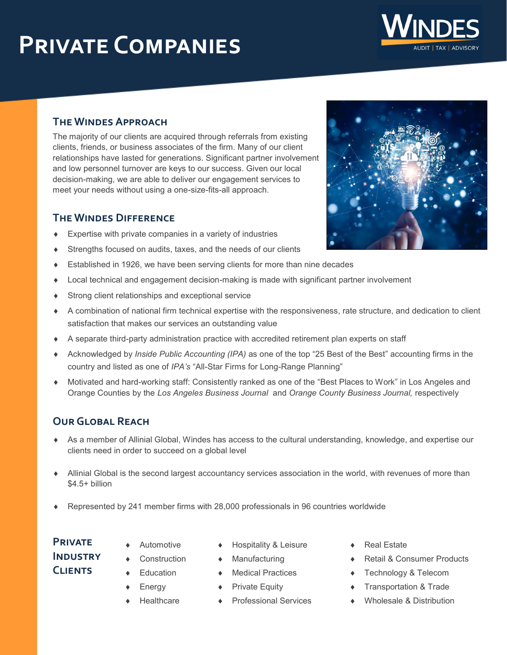# **Private Companies**

#### **The Windes Approach**

The majority of our clients are acquired through referrals from existing clients, friends, or business associates of the firm. Many of our client relationships have lasted for generations. Significant partner involvement and low personnel turnover are keys to our success. Given our local decision-making, we are able to deliver our engagement services to meet your needs without using a one-size-fits-all approach.

#### **The Windes Difference**

- Expertise with private companies in a variety of industries
- Strengths focused on audits, taxes, and the needs of our clients
- Established in 1926, we have been serving clients for more than nine decades
- Local technical and engagement decision-making is made with significant partner involvement
- Strong client relationships and exceptional service
- A combination of national firm technical expertise with the responsiveness, rate structure, and dedication to client satisfaction that makes our services an outstanding value
- A separate third-party administration practice with accredited retirement plan experts on staff
- Acknowledged by *Inside Public Accounting (IPA)* as one of the top "25 Best of the Best" accounting firms in the country and listed as one of *IPA's* "All-Star Firms for Long-Range Planning"
- Motivated and hard-working staff: Consistently ranked as one of the "Best Places to Work" in Los Angeles and Orange Counties by the *Los Angeles Business Journal* and *Orange County Business Journal,* respectively

### **Our Global Reach**

- As a member of Allinial Global, Windes has access to the cultural understanding, knowledge, and expertise our clients need in order to succeed on a global level
- Allinial Global is the second largest accountancy services association in the world, with revenues of more than \$4.5+ billion
- Represented by 241 member firms with 28,000 professionals in 96 countries worldwide

## **Private Industry Clients**

- Automotive
	- **Construction**
- Education
- Energy
	- **Healthcare**
- Hospitality & Leisure

◆ Medical Practices

- Manufacturing
- 
- ◆ Private Equity
- Professional Services
- Real Estate
- Retail & Consumer Products
- Technology & Telecom
- Transportation & Trade
- Wholesale & Distribution